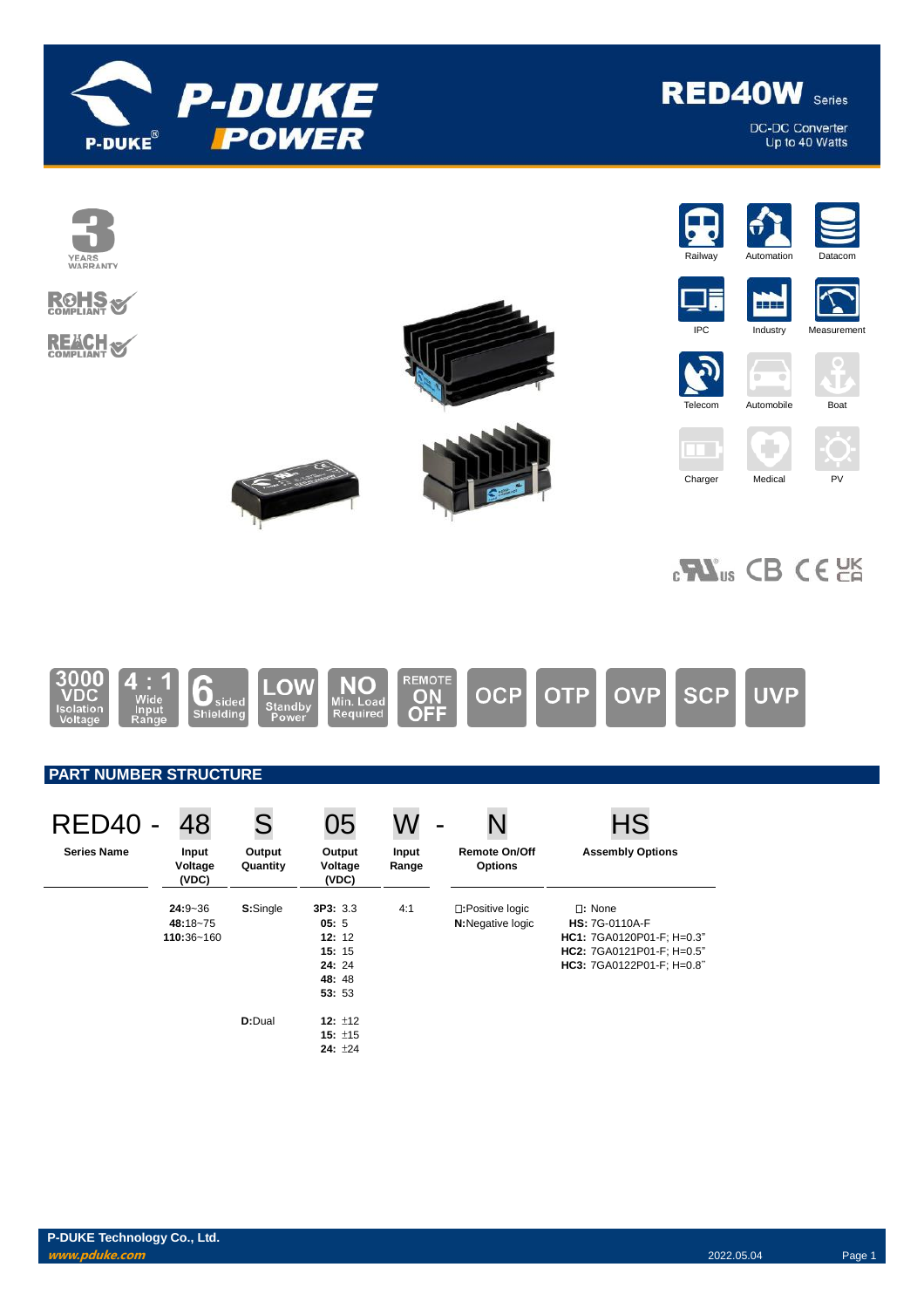

DC-DC Converter<br>Up to 40 Watts

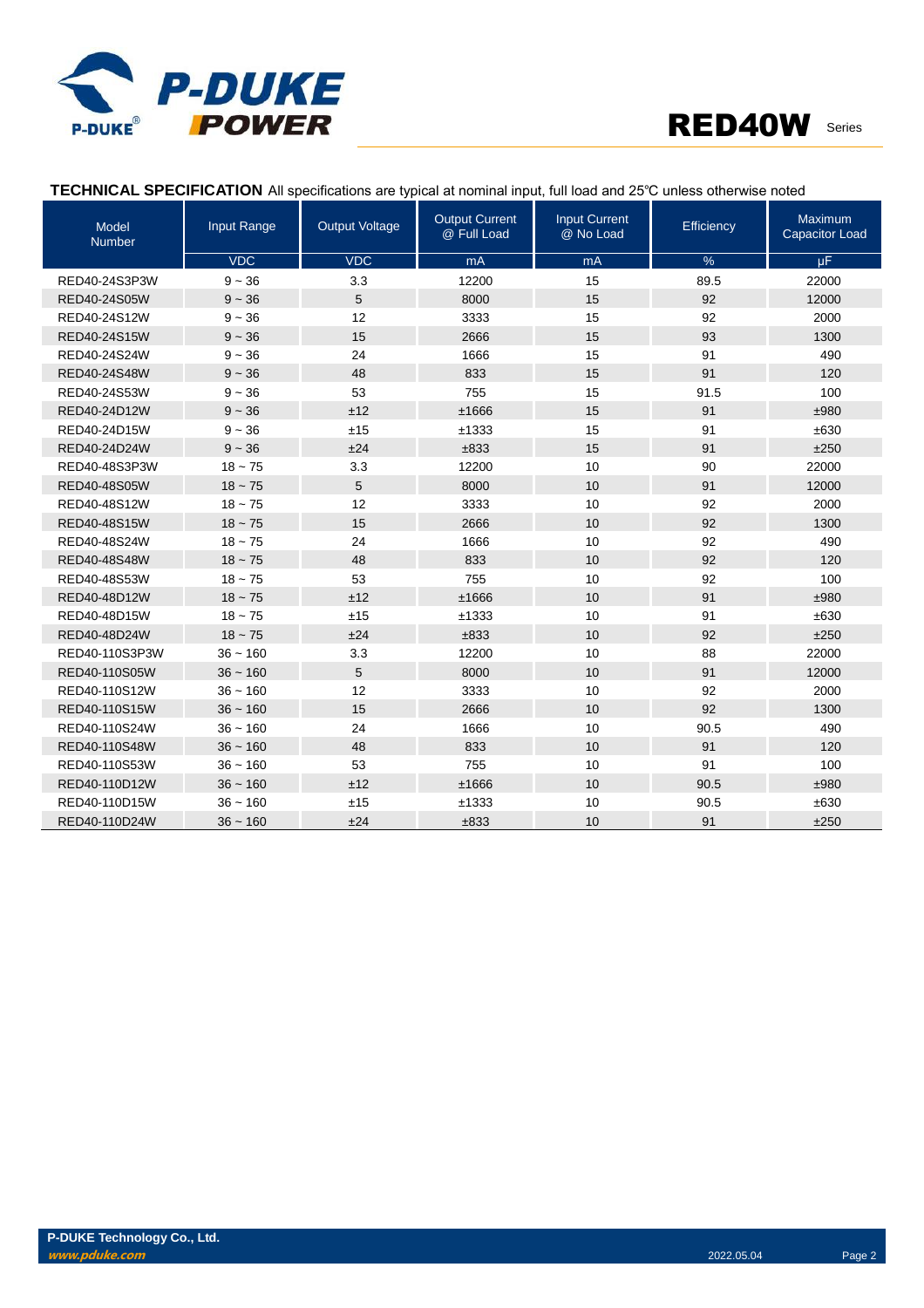

| Model<br><b>Number</b> | Input Range | <b>Output Voltage</b> | <b>Output Current</b><br>@ Full Load | <b>Input Current</b><br>@ No Load | Efficiency    | Maximum<br>Capacitor Load |
|------------------------|-------------|-----------------------|--------------------------------------|-----------------------------------|---------------|---------------------------|
|                        | <b>VDC</b>  | <b>VDC</b>            | mA                                   | mA                                | $\frac{9}{6}$ | $\mu$ F                   |
| RED40-24S3P3W          | $9 - 36$    | 3.3                   | 12200                                | 15                                | 89.5          | 22000                     |
| RED40-24S05W           | $9 - 36$    | 5                     | 8000                                 | 15                                | 92            | 12000                     |
| RED40-24S12W           | $9 - 36$    | 12                    | 3333                                 | 15                                | 92            | 2000                      |
| RED40-24S15W           | $9 - 36$    | 15                    | 2666                                 | 15                                | 93            | 1300                      |
| RED40-24S24W           | $9 - 36$    | 24                    | 1666                                 | 15                                | 91            | 490                       |
| RED40-24S48W           | $9 - 36$    | 48                    | 833                                  | 15                                | 91            | 120                       |
| RED40-24S53W           | $9 - 36$    | 53                    | 755                                  | 15                                | 91.5          | 100                       |
| RED40-24D12W           | $9 - 36$    | ±12                   | ±1666                                | 15                                | 91            | ±980                      |
| RED40-24D15W           | $9 - 36$    | ±15                   | ±1333                                | 15                                | 91            | ±630                      |
| RED40-24D24W           | $9 - 36$    | ±24                   | ±833                                 | 15                                | 91            | ±250                      |
| RED40-48S3P3W          | $18 - 75$   | 3.3                   | 12200                                | 10                                | 90            | 22000                     |
| RED40-48S05W           | $18 - 75$   | 5                     | 8000                                 | 10                                | 91            | 12000                     |
| RED40-48S12W           | $18 - 75$   | 12                    | 3333                                 | 10                                | 92            | 2000                      |
| RED40-48S15W           | $18 - 75$   | 15                    | 2666                                 | 10                                | 92            | 1300                      |
| RED40-48S24W           | $18 - 75$   | 24                    | 1666                                 | 10                                | 92            | 490                       |
| RED40-48S48W           | $18 - 75$   | 48                    | 833                                  | 10                                | 92            | 120                       |
| RED40-48S53W           | $18 - 75$   | 53                    | 755                                  | 10                                | 92            | 100                       |
| RED40-48D12W           | $18 - 75$   | ±12                   | ±1666                                | 10                                | 91            | ±980                      |
| RED40-48D15W           | $18 - 75$   | ±15                   | ±1333                                | 10                                | 91            | ±630                      |
| RED40-48D24W           | $18 - 75$   | ±24                   | ±833                                 | 10                                | 92            | ±250                      |
| RED40-110S3P3W         | $36 - 160$  | 3.3                   | 12200                                | 10                                | 88            | 22000                     |
| RED40-110S05W          | $36 - 160$  | 5                     | 8000                                 | 10                                | 91            | 12000                     |
| RED40-110S12W          | $36 - 160$  | 12                    | 3333                                 | 10                                | 92            | 2000                      |
| RED40-110S15W          | $36 - 160$  | 15                    | 2666                                 | 10                                | 92            | 1300                      |
| RED40-110S24W          | $36 - 160$  | 24                    | 1666                                 | 10                                | 90.5          | 490                       |
| RED40-110S48W          | $36 - 160$  | 48                    | 833                                  | 10                                | 91            | 120                       |
| RED40-110S53W          | $36 - 160$  | 53                    | 755                                  | 10                                | 91            | 100                       |
| RED40-110D12W          | $36 - 160$  | ±12                   | ±1666                                | 10                                | 90.5          | ±980                      |
| RED40-110D15W          | $36 - 160$  | ±15                   | ±1333                                | 10                                | 90.5          | ±630                      |
| RED40-110D24W          | $36 - 160$  | ±24                   | ±833                                 | 10                                | 91            | ±250                      |

### **TECHNICAL SPECIFICATION** All specifications are typical at nominal input, full load and 25℃ unless otherwise noted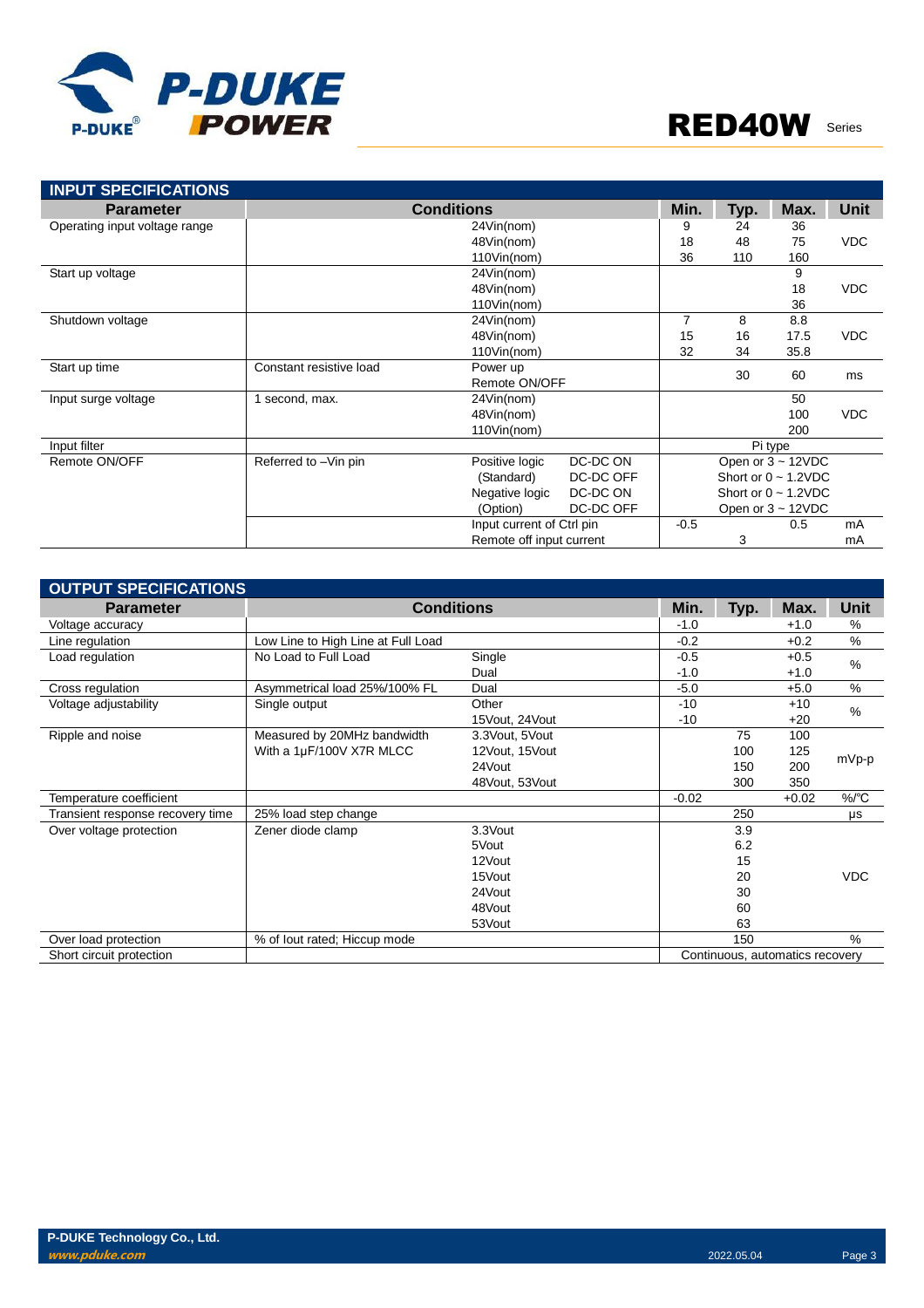

| <b>INPUT SPECIFICATIONS</b>   |                                     |                           |           |                |            |                           |            |
|-------------------------------|-------------------------------------|---------------------------|-----------|----------------|------------|---------------------------|------------|
| <b>Parameter</b>              | <b>Conditions</b>                   | Min.                      | Typ.      | Max.           | Unit       |                           |            |
| Operating input voltage range |                                     | 9                         | 24        | 36             |            |                           |            |
|                               |                                     | 48Vin(nom)                |           | 18             | 48         | 75                        | <b>VDC</b> |
|                               |                                     | 110Vin(nom)               |           | 36             | 110        | 160                       |            |
| Start up voltage              |                                     | 24Vin(nom)                |           |                |            | 9                         |            |
|                               |                                     | 48Vin(nom)                |           |                |            | 18                        | <b>VDC</b> |
|                               |                                     | 110Vin(nom)               |           |                |            | 36                        |            |
| Shutdown voltage              |                                     | 24Vin(nom)                |           | $\overline{7}$ | 8          | 8.8                       |            |
|                               |                                     | 15                        | 16        | 17.5           | <b>VDC</b> |                           |            |
|                               |                                     | 110Vin(nom)               |           | 32             | 34         | 35.8                      |            |
| Start up time                 | Constant resistive load<br>Power up |                           |           |                | 30         | 60                        | ms         |
|                               |                                     | Remote ON/OFF             |           |                |            |                           |            |
| Input surge voltage           | second, max.                        | 24Vin(nom)                |           |                |            | 50                        |            |
|                               |                                     | 48Vin(nom)                |           |                |            | 100                       | <b>VDC</b> |
|                               |                                     | 110Vin(nom)               |           |                |            | 200                       |            |
| Input filter                  |                                     |                           |           |                |            | Pi type                   |            |
| Remote ON/OFF                 | Referred to -Vin pin                | Positive logic            | DC-DC ON  |                |            | Open or $3 \sim 12$ VDC   |            |
|                               |                                     | (Standard)                | DC-DC OFF |                |            | Short or $0 \sim 1.2$ VDC |            |
|                               |                                     | Negative logic            | DC-DC ON  |                |            | Short or $0 \sim 1.2$ VDC |            |
|                               |                                     | (Option)                  | DC-DC OFF |                |            | Open or $3 \sim 12$ VDC   |            |
|                               |                                     | Input current of Ctrl pin |           | $-0.5$         |            | 0.5                       | mA         |
|                               |                                     | Remote off input current  |           |                | 3          |                           | mA         |

| <b>OUTPUT SPECIFICATIONS</b>     |                                    |                |         |      |                                 |               |
|----------------------------------|------------------------------------|----------------|---------|------|---------------------------------|---------------|
| <b>Parameter</b>                 | <b>Conditions</b>                  | Min.           | Typ.    | Max. | Unit                            |               |
| Voltage accuracy                 |                                    |                | $-1.0$  |      | $+1.0$                          | %             |
| Line regulation                  | Low Line to High Line at Full Load |                | $-0.2$  |      | $+0.2$                          | %             |
| Load regulation                  | No Load to Full Load               | Single         | $-0.5$  |      | $+0.5$                          | $\%$          |
|                                  |                                    | Dual           | $-1.0$  |      | $+1.0$                          |               |
| Cross regulation                 | Asymmetrical load 25%/100% FL      | Dual           | $-5.0$  |      | $+5.0$                          | $\frac{0}{0}$ |
| Voltage adjustability            | Single output                      | Other          | $-10$   |      | $+10$                           | %             |
|                                  |                                    | 15Vout, 24Vout | $-10$   |      | $+20$                           |               |
| Ripple and noise                 | Measured by 20MHz bandwidth        | 3.3Vout, 5Vout |         | 75   | 100                             |               |
|                                  | With a 1µF/100V X7R MLCC           | 12Vout, 15Vout |         | 100  | 125                             | mVp-p         |
|                                  |                                    | 24Vout         |         | 150  | 200                             |               |
|                                  |                                    | 48Vout, 53Vout |         | 300  | 350                             |               |
| Temperature coefficient          |                                    |                | $-0.02$ |      | $+0.02$                         | %/°C          |
| Transient response recovery time | 25% load step change               |                |         | 250  |                                 | μs            |
| Over voltage protection          | Zener diode clamp                  | 3.3Vout        |         | 3.9  |                                 |               |
|                                  |                                    | 5Vout          |         | 6.2  |                                 |               |
|                                  |                                    | 12Vout         |         | 15   |                                 |               |
|                                  |                                    | 15Vout         |         | 20   |                                 | <b>VDC</b>    |
|                                  |                                    | 24Vout         |         | 30   |                                 |               |
|                                  |                                    | 48Vout         |         | 60   |                                 |               |
|                                  |                                    | 53Vout         |         | 63   |                                 |               |
| Over load protection             | % of lout rated; Hiccup mode       |                |         | 150  |                                 | $\frac{0}{0}$ |
| Short circuit protection         |                                    |                |         |      | Continuous, automatics recovery |               |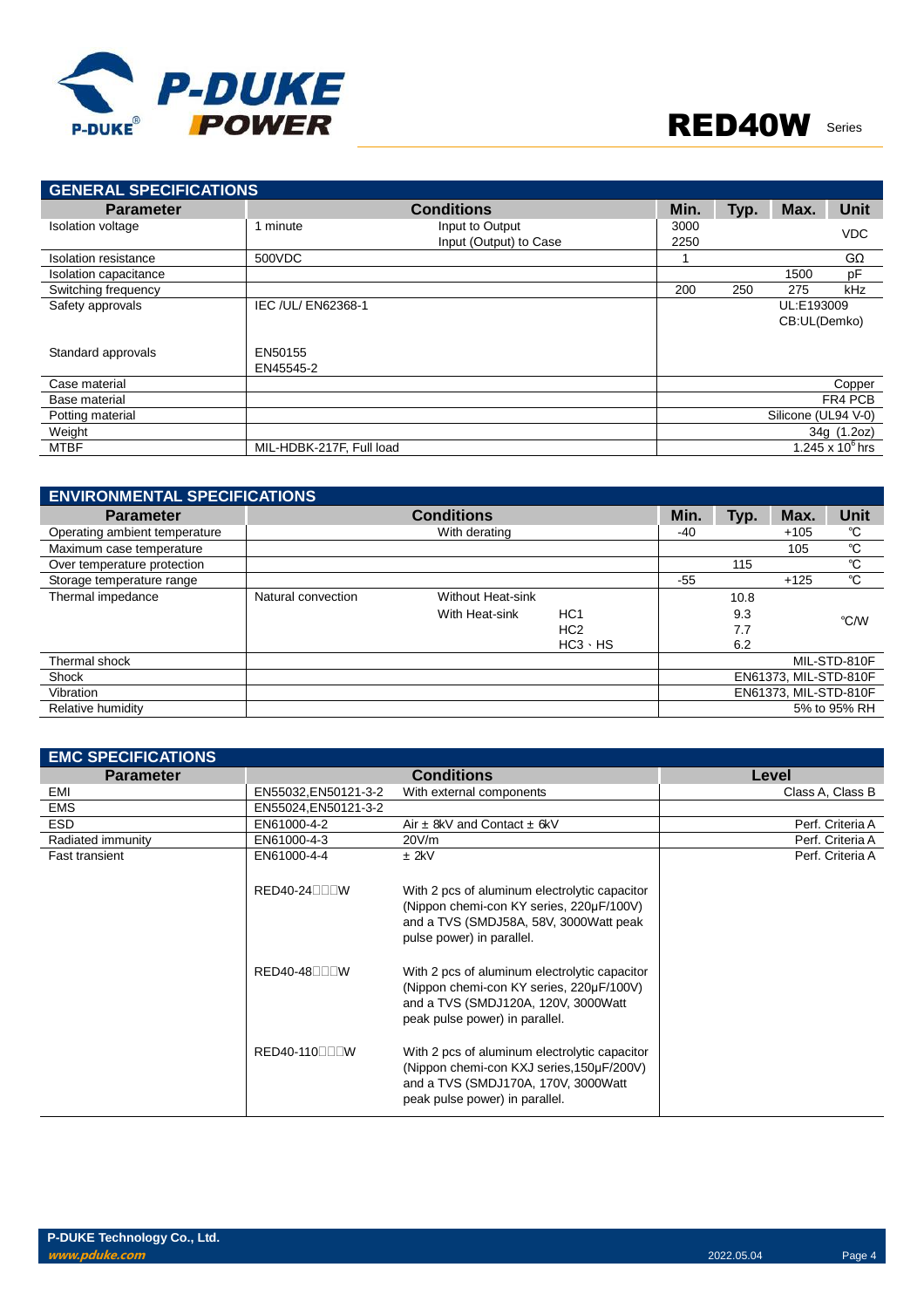

| <b>GENERAL SPECIFICATIONS</b> |                          |                        |      |      |                     |                    |
|-------------------------------|--------------------------|------------------------|------|------|---------------------|--------------------|
| <b>Parameter</b>              |                          | <b>Conditions</b>      | Min. | Typ. | Max.                | <b>Unit</b>        |
| <b>Isolation voltage</b>      | 1 minute                 | Input to Output        | 3000 |      |                     | <b>VDC</b>         |
|                               |                          | Input (Output) to Case | 2250 |      |                     |                    |
| Isolation resistance          | 500VDC                   |                        |      |      |                     | $G\Omega$          |
| Isolation capacitance         |                          |                        |      |      | 1500                | pF                 |
| Switching frequency           |                          |                        | 200  | 250  | 275                 | kHz                |
| Safety approvals              | IEC /UL/ EN62368-1       |                        |      |      | UL:E193009          |                    |
|                               |                          |                        |      |      | CB:UL(Demko)        |                    |
| Standard approvals            | EN50155                  |                        |      |      |                     |                    |
|                               | EN45545-2                |                        |      |      |                     |                    |
| Case material                 |                          |                        |      |      |                     | Copper             |
| Base material                 |                          |                        |      |      |                     | FR4 PCB            |
| Potting material              |                          |                        |      |      | Silicone (UL94 V-0) |                    |
| Weight                        |                          |                        |      |      |                     | 34g (1.2oz)        |
| MTBF                          | MIL-HDBK-217F, Full load |                        |      |      |                     | 1.245 x $10^6$ hrs |

| <b>ENVIRONMENTAL SPECIFICATIONS</b> |                    |                          |                 |      |      |                       |              |
|-------------------------------------|--------------------|--------------------------|-----------------|------|------|-----------------------|--------------|
| <b>Parameter</b>                    |                    | <b>Conditions</b>        |                 | Min. | Typ. | Max.                  | <b>Unit</b>  |
| Operating ambient temperature       |                    | With derating            |                 | -40  |      | $+105$                | °C           |
| Maximum case temperature            |                    |                          |                 |      |      | 105                   | °C           |
| Over temperature protection         |                    |                          |                 |      | 115  |                       | °C           |
| Storage temperature range           |                    |                          |                 | -55  |      | $+125$                | °C           |
| Thermal impedance                   | Natural convection | <b>Without Heat-sink</b> |                 |      | 10.8 |                       |              |
|                                     |                    | With Heat-sink           | HC <sub>1</sub> |      | 9.3  |                       | °C/W         |
|                                     |                    |                          | HC <sub>2</sub> |      | 7.7  |                       |              |
|                                     |                    |                          | $HC3 \cdot HS$  |      | 6.2  |                       |              |
| Thermal shock                       |                    |                          |                 |      |      |                       | MIL-STD-810F |
| Shock                               |                    |                          |                 |      |      | EN61373, MIL-STD-810F |              |
| Vibration                           |                    |                          |                 |      |      | EN61373, MIL-STD-810F |              |
| Relative humidity                   |                    |                          |                 |      |      |                       | 5% to 95% RH |

| <b>EMC SPECIFICATIONS</b> |                                        |                                                                                                                                                                     |                  |
|---------------------------|----------------------------------------|---------------------------------------------------------------------------------------------------------------------------------------------------------------------|------------------|
| <b>Parameter</b>          |                                        | <b>Conditions</b>                                                                                                                                                   | Level            |
| EMI                       | EN55032, EN50121-3-2                   | With external components                                                                                                                                            | Class A, Class B |
| <b>EMS</b>                | EN55024, EN50121-3-2                   |                                                                                                                                                                     |                  |
| <b>ESD</b>                | EN61000-4-2                            | Air $\pm$ 8kV and Contact $\pm$ 6kV                                                                                                                                 | Perf. Criteria A |
| Radiated immunity         | EN61000-4-3                            | 20V/m                                                                                                                                                               | Perf. Criteria A |
| <b>Fast transient</b>     | EN61000-4-4                            | $±$ 2kV                                                                                                                                                             | Perf. Criteria A |
|                           | $RED40-24\square\square\square$        | With 2 pcs of aluminum electrolytic capacitor<br>(Nippon chemi-con KY series, 220µF/100V)<br>and a TVS (SMDJ58A, 58V, 3000Watt peak<br>pulse power) in parallel.    |                  |
|                           | $RED40-48$ $\neg$ $\neg$ $\neg$ $\neg$ | With 2 pcs of aluminum electrolytic capacitor<br>(Nippon chemi-con KY series, 220µF/100V)<br>and a TVS (SMDJ120A, 120V, 3000Watt<br>peak pulse power) in parallel.  |                  |
|                           | RED40-110□□□W                          | With 2 pcs of aluminum electrolytic capacitor<br>(Nippon chemi-con KXJ series, 150µF/200V)<br>and a TVS (SMDJ170A, 170V, 3000Watt<br>peak pulse power) in parallel. |                  |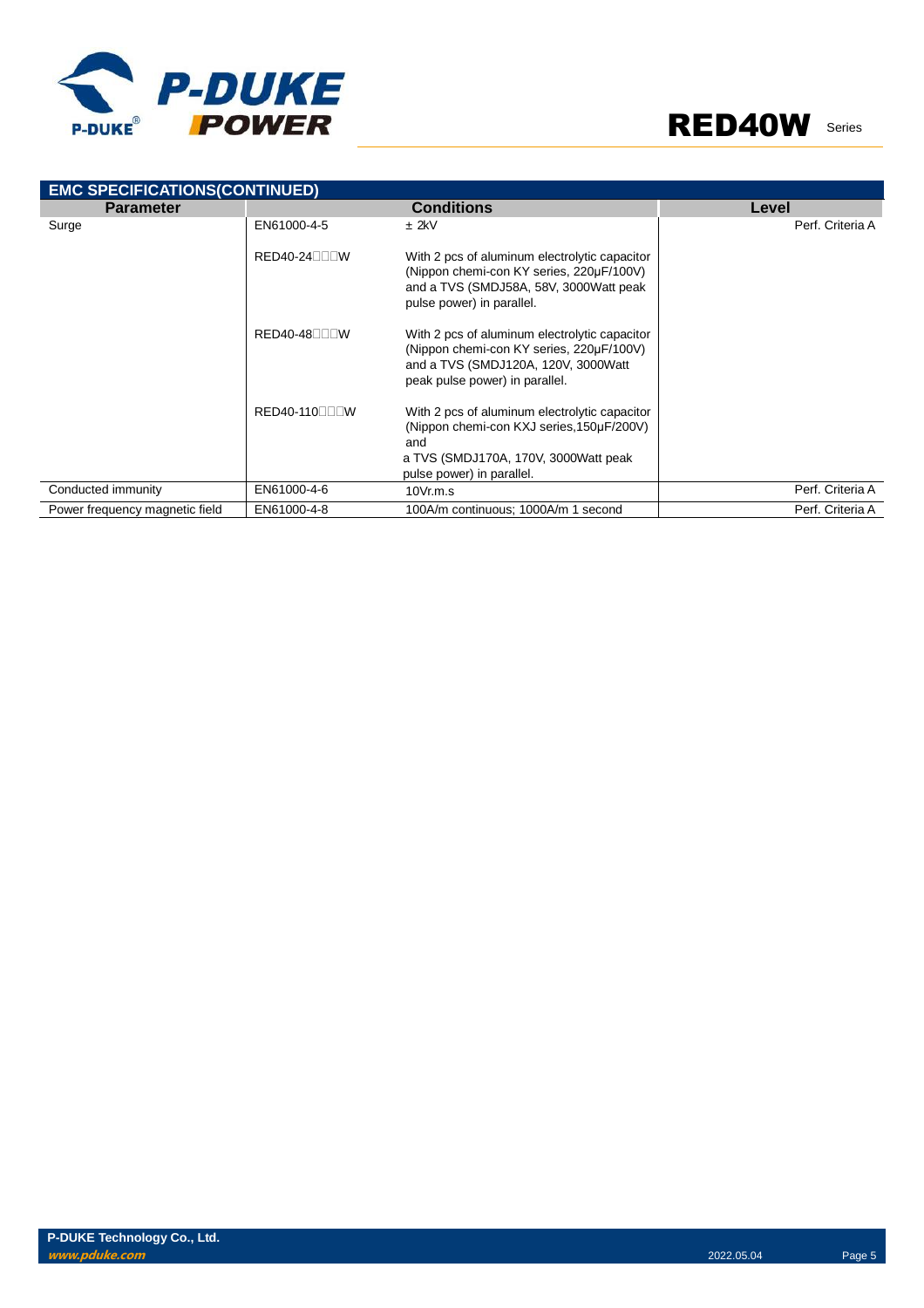



| <b>EMC SPECIFICATIONS(CONTINUED)</b> |                                        |                                                                                                                                                                        |                  |
|--------------------------------------|----------------------------------------|------------------------------------------------------------------------------------------------------------------------------------------------------------------------|------------------|
| <b>Parameter</b>                     |                                        | <b>Conditions</b>                                                                                                                                                      | Level            |
| Surge                                | EN61000-4-5                            | $±$ 2kV                                                                                                                                                                | Perf. Criteria A |
|                                      | $RED40-24$ $\neg$ T $\neg$ W           | With 2 pcs of aluminum electrolytic capacitor<br>(Nippon chemi-con KY series, 220µF/100V)<br>and a TVS (SMDJ58A, 58V, 3000Watt peak<br>pulse power) in parallel.       |                  |
|                                      | $RED40-48$ $\neg$ $\neg$ $\neg$ $\neg$ | With 2 pcs of aluminum electrolytic capacitor<br>(Nippon chemi-con KY series, 220µF/100V)<br>and a TVS (SMDJ120A, 120V, 3000Watt<br>peak pulse power) in parallel.     |                  |
|                                      | RED40-110□□□W                          | With 2 pcs of aluminum electrolytic capacitor<br>(Nippon chemi-con KXJ series, 150µF/200V)<br>and<br>a TVS (SMDJ170A, 170V, 3000Watt peak<br>pulse power) in parallel. |                  |
| Conducted immunity                   | EN61000-4-6                            | 10Vr.m.s                                                                                                                                                               | Perf. Criteria A |
| Power frequency magnetic field       | EN61000-4-8                            | 100A/m continuous; 1000A/m 1 second                                                                                                                                    | Perf. Criteria A |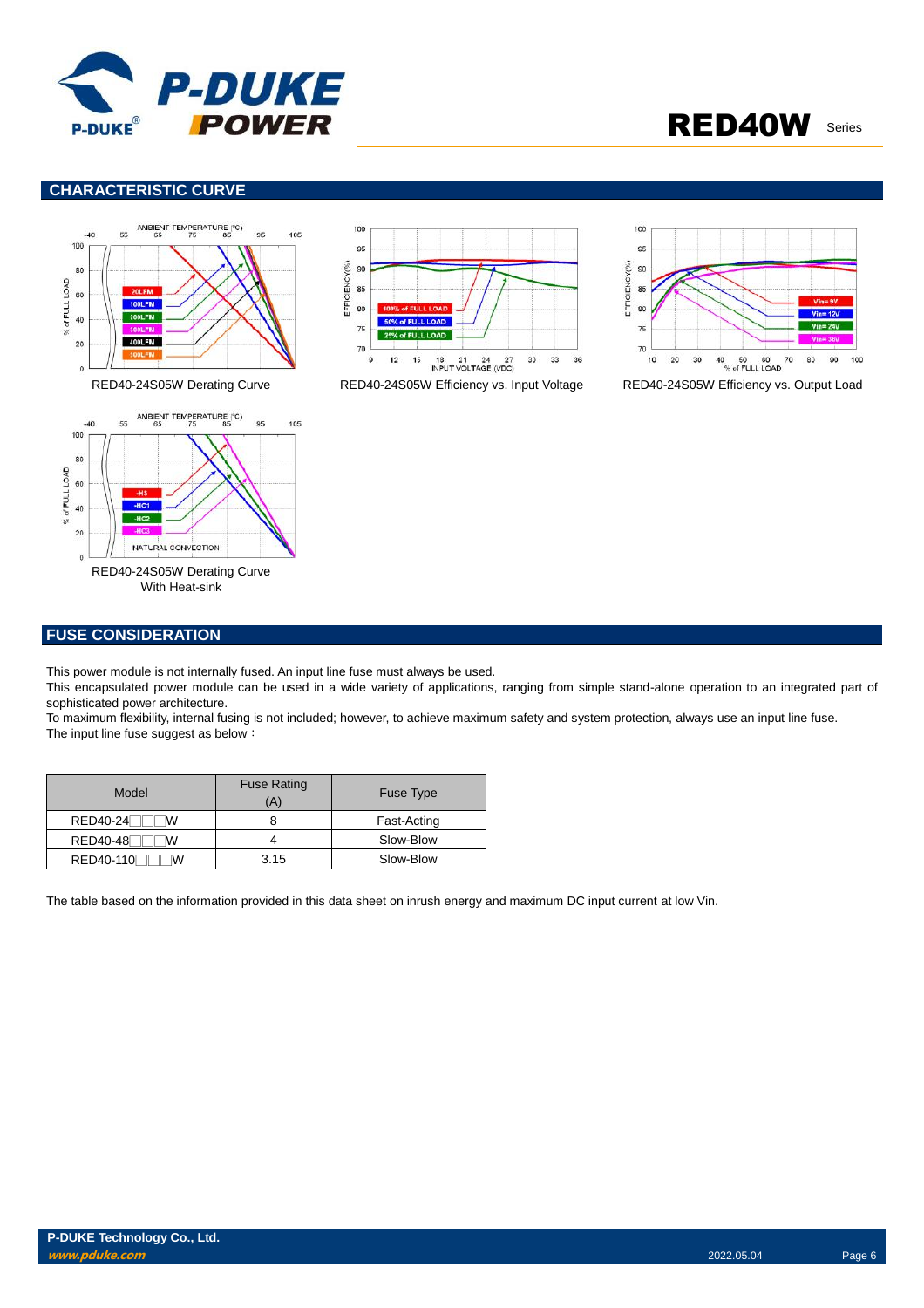

### **CHARACTERISTIC CURVE**







RED40-24S05W Derating Curve RED40-24S05W Efficiency vs. Input Voltage RED40-24S05W Efficiency vs. Output Load



### **FUSE CONSIDERATION**

This power module is not internally fused. An input line fuse must always be used.

This encapsulated power module can be used in a wide variety of applications, ranging from simple stand-alone operation to an integrated part of sophisticated power architecture.

To maximum flexibility, internal fusing is not included; however, to achieve maximum safety and system protection, always use an input line fuse. The input line fuse suggest as below:

| Model           | <b>Fuse Rating</b><br>(A | Fuse Type   |
|-----------------|--------------------------|-------------|
| RED40-24<br>w   |                          | Fast-Acting |
| <b>RED40-48</b> |                          | Slow-Blow   |
| RED40-110<br>w  | 3.15                     | Slow-Blow   |

The table based on the information provided in this data sheet on inrush energy and maximum DC input current at low Vin.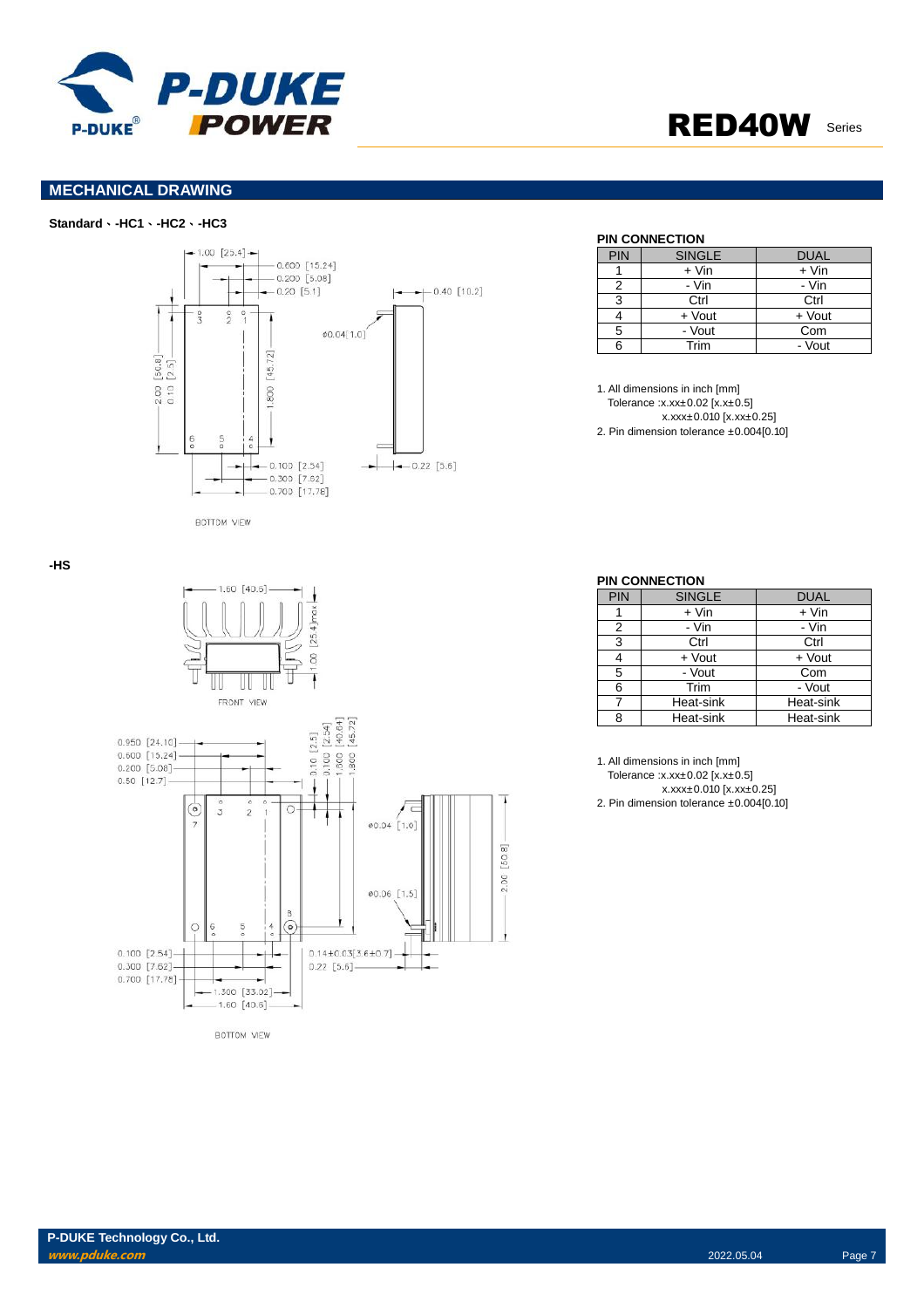

### **MECHANICAL DRAWING**

### **Standard**、**-HC1**、**-HC2**、**-HC3**



#### **PIN CONNECTION**

| PIN | <b>SINGLE</b> | <b>DUAL</b> |
|-----|---------------|-------------|
|     | $+$ Vin       | $+$ Vin     |
| 2   | - Vin         | - Vin       |
| 3   | Ctrl          | Ctrl        |
|     | + Vout        | + Vout      |
| 5   | - Vout        | Com         |
|     | Trim          | - Vout      |

1. All dimensions in inch [mm] Tolerance :x.xx±0.02 [x.x±0.5] x.xxx±0.010 [x.xx±0.25] 2. Pin dimension tolerance ±0.004[0.10]



**BOTTOM VIEW** 

#### **PIN CONNECTION**

| PIN | <b>SINGLE</b> | <b>DUAL</b> |
|-----|---------------|-------------|
|     | $+$ Vin       | $+$ Vin     |
| 2   | - Vin         | - Vin       |
| 3   | Ctrl          | Ctrl        |
|     | + Vout        | + Vout      |
| 5   | - Vout        | Com         |
| 6   | Trim          | - Vout      |
| 7   | Heat-sink     | Heat-sink   |
| ጸ   | Heat-sink     | Heat-sink   |

1. All dimensions in inch [mm]

Tolerance :x.xx±0.02 [x.x±0.5]

x.xxx±0.010 [x.xx±0.25]

2. Pin dimension tolerance ±0.004[0.10]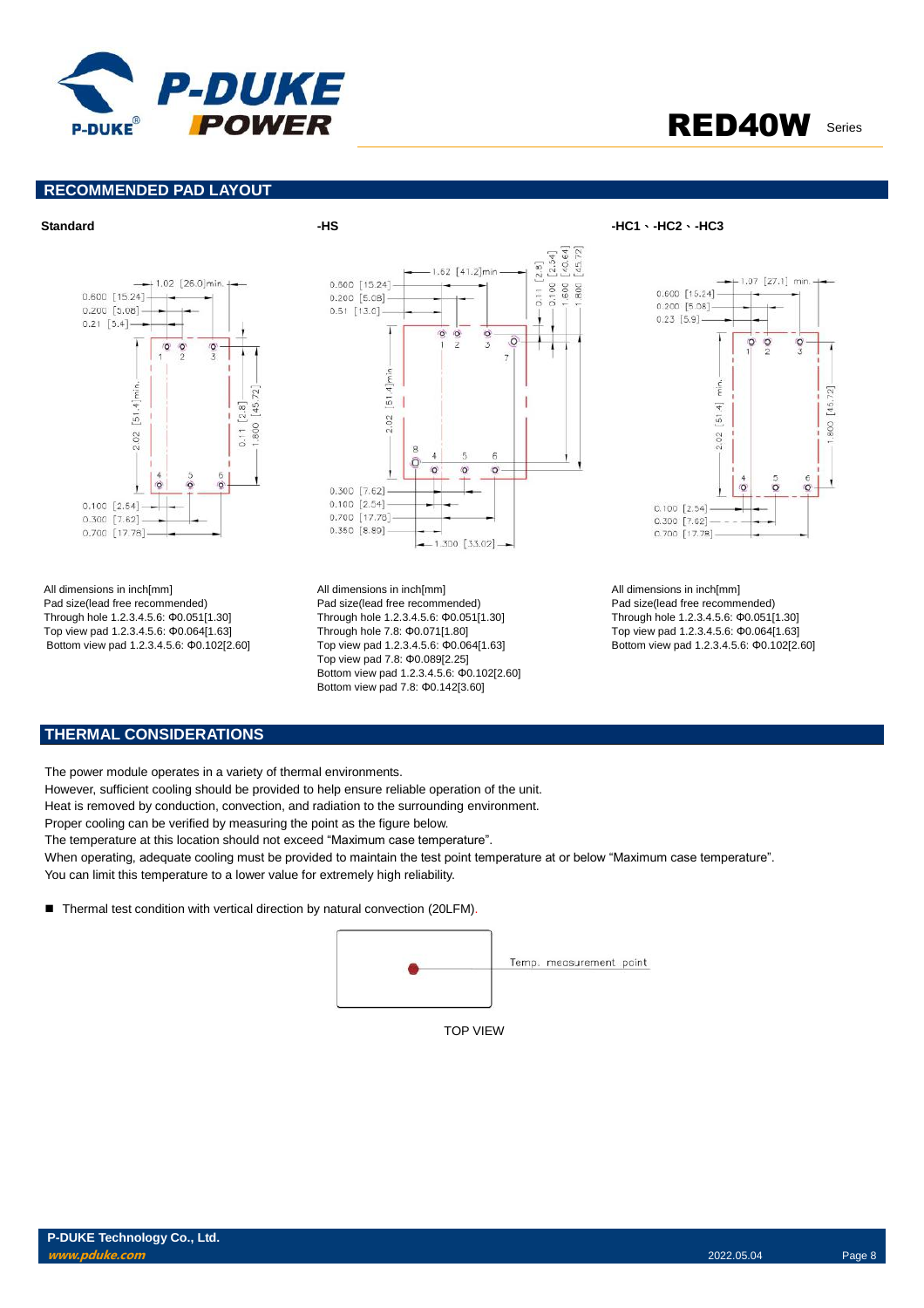

### **RECOMMENDED PAD LAYOUT**



All dimensions in inch[mm] Pad size(lead free recommended) Through hole 1.2.3.4.5.6: Φ0.051[1.30] Top view pad 1.2.3.4.5.6: Φ0.064[1.63] Bottom view pad 1.2.3.4.5.6: Φ0.102[2.60]



All dimensions in inch[mm] Pad size(lead free recommended) Through hole 1.2.3.4.5.6: Φ0.051[1.30] Through hole 7.8: Φ0.071[1.80] Top view pad 1.2.3.4.5.6: Φ0.064[1.63] Top view pad 7.8: Φ0.089[2.25] Bottom view pad 1.2.3.4.5.6: Φ0.102[2.60] Bottom view pad 7.8: Φ0.142[3.60]



All dimensions in inch[mm] Pad size(lead free recommended) Through hole 1.2.3.4.5.6: Φ0.051[1.30] Top view pad 1.2.3.4.5.6: Φ0.064[1.63] Bottom view pad 1.2.3.4.5.6: Φ0.102[2.60]

### **THERMAL CONSIDERATIONS**

The power module operates in a variety of thermal environments.

However, sufficient cooling should be provided to help ensure reliable operation of the unit.

Heat is removed by conduction, convection, and radiation to the surrounding environment.

Proper cooling can be verified by measuring the point as the figure below.

The temperature at this location should not exceed "Maximum case temperature".

When operating, adequate cooling must be provided to maintain the test point temperature at or below "Maximum case temperature". You can limit this temperature to a lower value for extremely high reliability.

■ Thermal test condition with vertical direction by natural convection (20LFM).



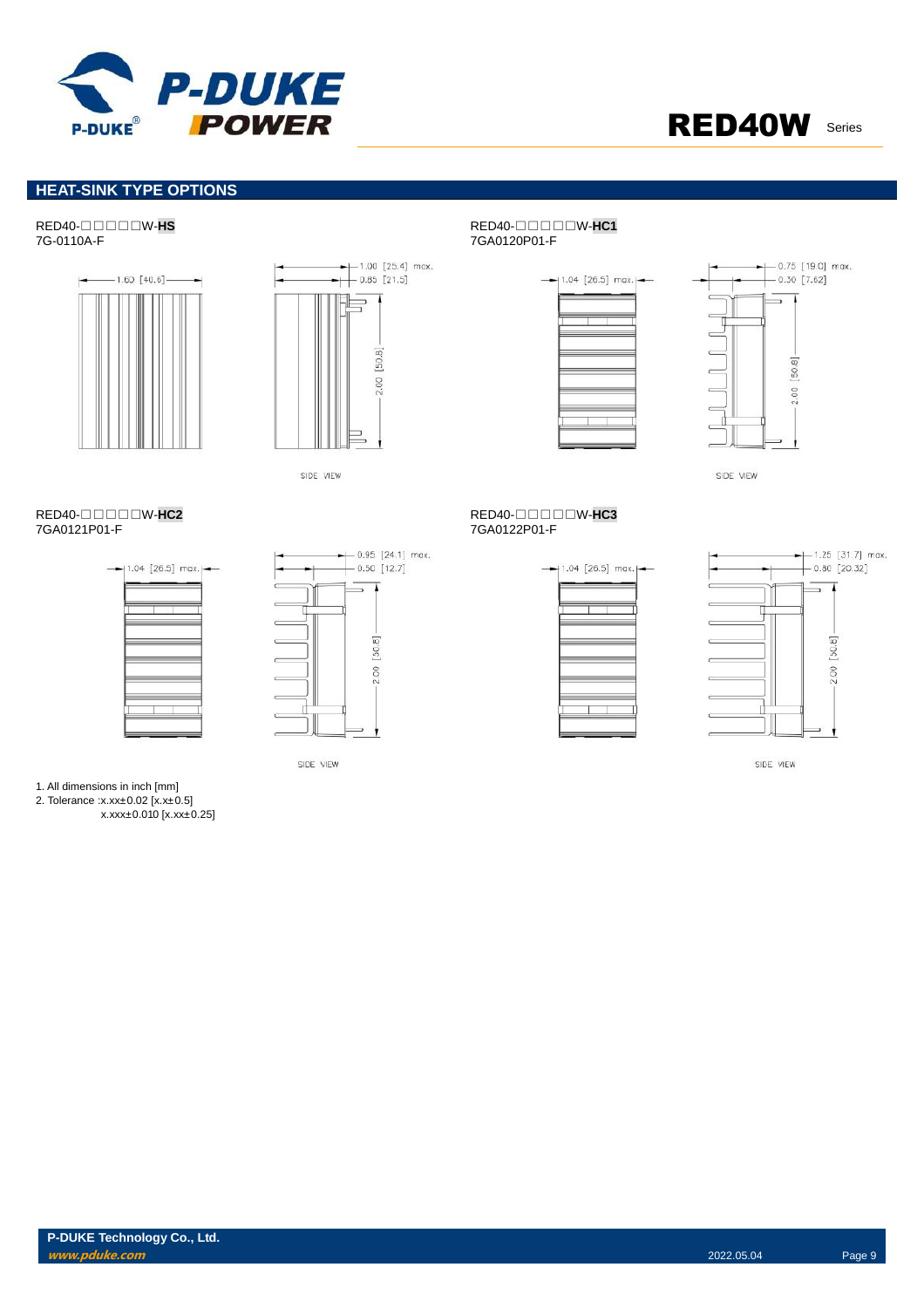

 $-0.75$  [19.0] max.

### **HEAT-SINK TYPE OPTIONS**

## RED40-□□□□□W-**HS** RED40-□□□□□W-**HC1**





SIDE VIEW

л T

SIDE VIEW

-

 $[50.8]$ 

2.00

#### RED40-□□□□□W-**HC2** RED40-□□□□□W-**HC3** 7GA0121P01-F





# $-0.95$  [24.1] max.  $-0.50$  [12.7]





SIDE VIEW

7GA0120P01-F





SIDE VIEW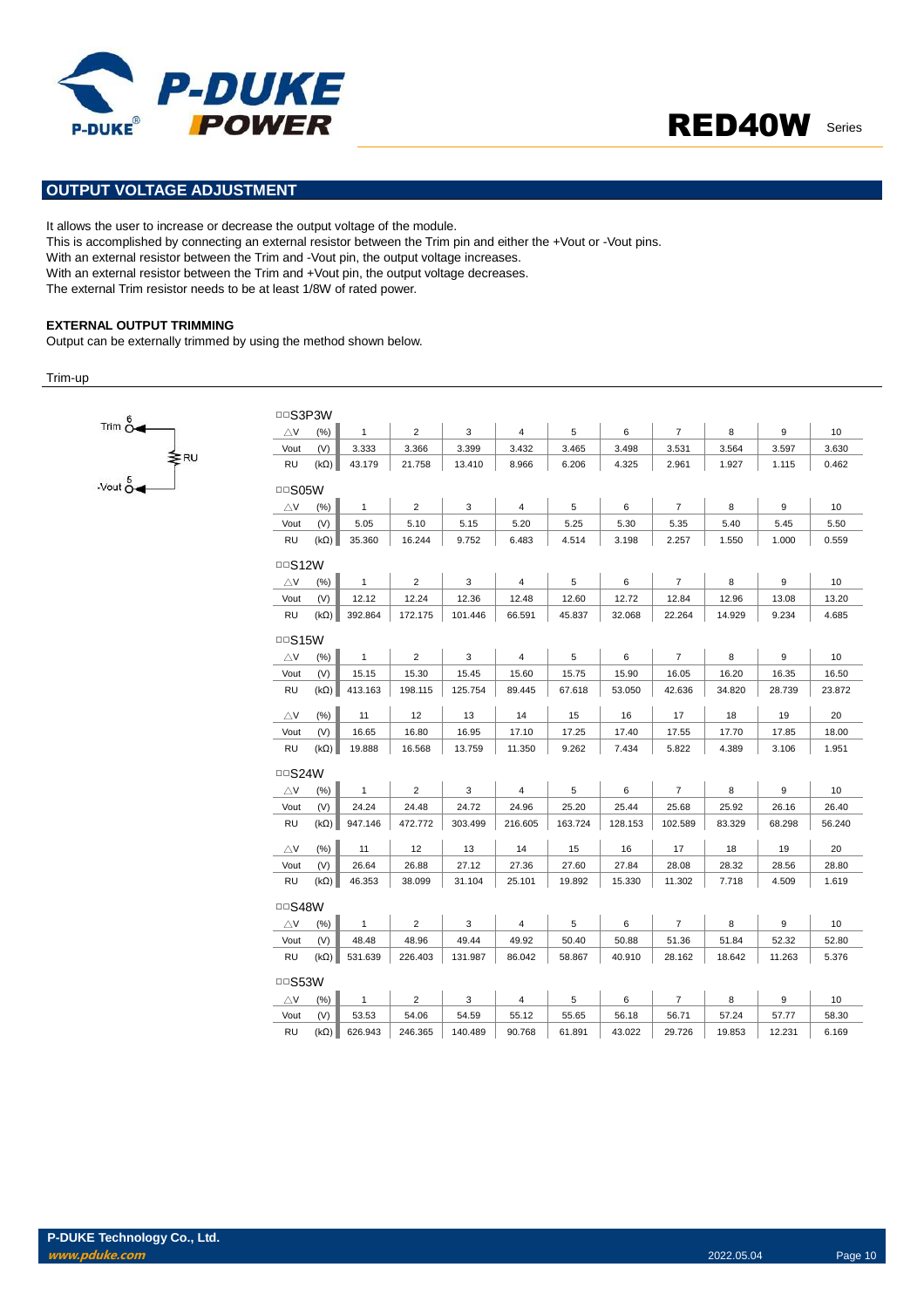



### **OUTPUT VOLTAGE ADJUSTMENT**

It allows the user to increase or decrease the output voltage of the module.

This is accomplished by connecting an external resistor between the Trim pin and either the +Vout or -Vout pins.

With an external resistor between the Trim and -Vout pin, the output voltage increases.

With an external resistor between the Trim and +Vout pin, the output voltage decreases.

The external Trim resistor needs to be at least 1/8W of rated power.

#### **EXTERNAL OUTPUT TRIMMING**

Output can be externally trimmed by using the method shown below.

#### Trim-up



| □□S3P3W               |                    |                 |                |                 |                 |             |             |                |                |                |             |
|-----------------------|--------------------|-----------------|----------------|-----------------|-----------------|-------------|-------------|----------------|----------------|----------------|-------------|
| $\triangle$ V         | (% )               | $\mathbf{1}$    | $\overline{2}$ | 3               | 4               | 5           | 6           | $\overline{7}$ | 8              | 9              | 10          |
| Vout                  | (V)                | 3.333           | 3.366          | 3.399           | 3.432           | 3.465       | 3.498       | 3.531          | 3.564          | 3.597          | 3.630       |
| RU                    | $(k\Omega)$        | 43.179          | 21.758         | 13.410          | 8.966           | 6.206       | 4.325       | 2.961          | 1.927          | 1.115          | 0.462       |
| $\Box$ SO5W           |                    |                 |                |                 |                 |             |             |                |                |                |             |
| $\triangle$ V         | (%)                | $\mathbf{1}$    | $\overline{2}$ | 3               | 4               | 5           | 6           | $\overline{7}$ | 8              | 9              | 10          |
| Vout                  | (V)                | 5.05            | 5.10           | 5.15            | 5.20            | 5.25        | 5.30        | 5.35           | 5.40           | 5.45           | 5.50        |
| RU                    | $(k\Omega)$        | 35.360          | 16.244         | 9.752           | 6.483           | 4.514       | 3.198       | 2.257          | 1.550          | 1.000          | 0.559       |
| □□S12W                |                    |                 |                |                 |                 |             |             |                |                |                |             |
| $\triangle$ V         | (%)                | $\mathbf{1}$    | $\overline{2}$ | 3               | 4               | 5           | 6           | $\overline{7}$ | 8              | 9              | 10          |
| Vout                  | (V)                | 12.12           | 12.24          | 12.36           | 12.48           | 12.60       | 12.72       | 12.84          | 12.96          | 13.08          | 13.20       |
| RU                    | $(k\Omega)$        | 392.864         | 172.175        | 101.446         | 66.591          | 45.837      | 32.068      | 22.264         | 14.929         | 9.234          | 4.685       |
| $\Box$ S15W           |                    |                 |                |                 |                 |             |             |                |                |                |             |
| $\triangle$ V         | (% )               | $\mathbf{1}$    | $\overline{2}$ | 3               | 4               | 5           | 6           | $\overline{7}$ | 8              | 9              | 10          |
| Vout                  | (V)                | 15.15           | 15.30          | 15.45           | 15.60           | 15.75       | 15.90       | 16.05          | 16.20          | 16.35          | 16.50       |
| RU                    | $(k\Omega)$        | 413.163         | 198.115        | 125.754         | 89.445          | 67.618      | 53.050      | 42.636         | 34.820         | 28.739         | 23.872      |
|                       |                    |                 |                |                 |                 |             |             |                |                |                |             |
| $\triangle$ V<br>Vout | (% )               | 11              | 12<br>16.80    | 13              | 14              | 15<br>17.25 | 16<br>17.40 | 17             | 18             | 19             | 20<br>18.00 |
| RU                    | (V)<br>$(k\Omega)$ | 16.65<br>19.888 | 16.568         | 16.95<br>13.759 | 17.10<br>11.350 | 9.262       | 7.434       | 17.55<br>5.822 | 17.70<br>4.389 | 17.85<br>3.106 | 1.951       |
|                       |                    |                 |                |                 |                 |             |             |                |                |                |             |
| $\Box$ S24W           |                    |                 |                |                 |                 |             |             |                |                |                |             |
| $\triangle$ V         | (% )               | $\mathbf{1}$    | $\overline{2}$ | 3               | 4               | 5           | 6           | $\overline{7}$ | 8              | 9              | 10          |
| Vout                  | (V)                | 24.24           | 24.48          | 24.72           | 24.96           | 25.20       | 25.44       | 25.68          | 25.92          | 26.16          | 26.40       |
| RU                    | $(k\Omega)$        | 947.146         | 472.772        | 303.499         | 216.605         | 163.724     | 128.153     | 102.589        | 83.329         | 68.298         | 56.240      |
| $\triangle$ V         | (% )               | 11              | 12             | 13              | 14              | 15          | 16          | 17             | 18             | 19             | 20          |
| Vout                  | (V)                | 26.64           | 26.88          | 27.12           | 27.36           | 27.60       | 27.84       | 28.08          | 28.32          | 28.56          | 28.80       |
| RU                    | $(k\Omega)$        | 46.353          | 38.099         | 31.104          | 25.101          | 19.892      | 15.330      | 11.302         | 7.718          | 4.509          | 1.619       |
| □□S48W                |                    |                 |                |                 |                 |             |             |                |                |                |             |
| $\triangle$ V         | (%)                | $\mathbf{1}$    | $\overline{2}$ | 3               | 4               | 5           | 6           | $\overline{7}$ | 8              | 9              | 10          |
| Vout                  | (V)                | 48.48           | 48.96          | 49.44           | 49.92           | 50.40       | 50.88       | 51.36          | 51.84          | 52.32          | 52.80       |
| RU                    | $(k\Omega)$        | 531.639         | 226.403        | 131.987         | 86.042          | 58.867      | 40.910      | 28.162         | 18.642         | 11.263         | 5.376       |
| □□S53W                |                    |                 |                |                 |                 |             |             |                |                |                |             |
| $\triangle$ V         | (%)                | $\mathbf{1}$    | $\overline{2}$ | 3               | 4               | 5           | 6           | $\overline{7}$ | 8              | 9              | 10          |
| Vout                  | (V)                | 53.53           | 54.06          | 54.59           | 55.12           | 55.65       | 56.18       | 56.71          | 57.24          | 57.77          | 58.30       |
| RU                    | $(k\Omega)$        | 626.943         | 246.365        | 140.489         | 90.768          | 61.891      | 43.022      | 29.726         | 19.853         | 12.231         | 6.169       |